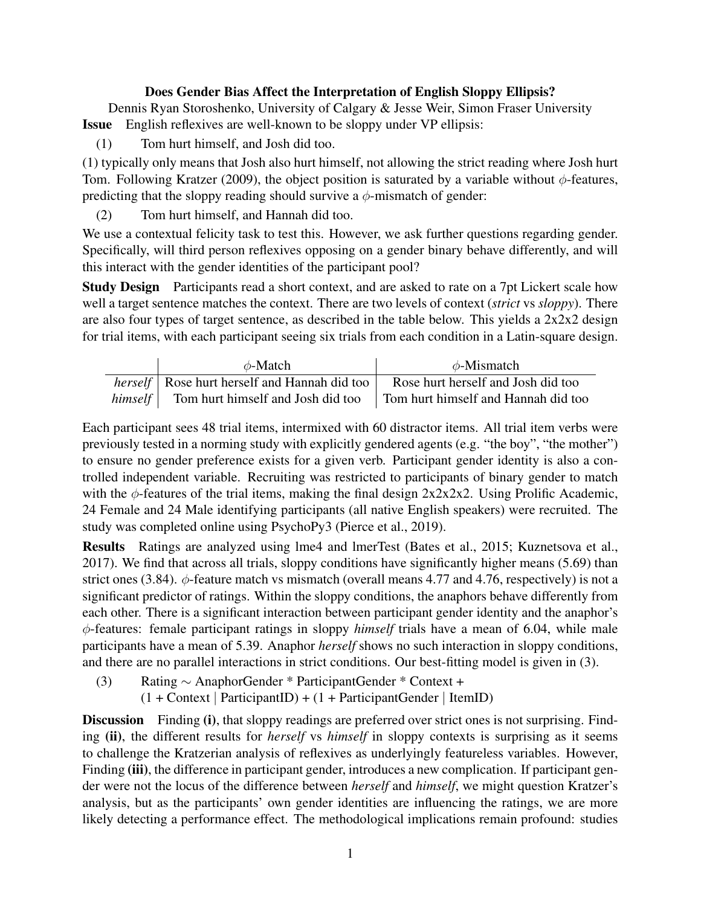## Does Gender Bias Affect the Interpretation of English Sloppy Ellipsis?

Dennis Ryan Storoshenko, University of Calgary & Jesse Weir, Simon Fraser University Issue English reflexives are well-known to be sloppy under VP ellipsis:

(1) Tom hurt himself, and Josh did too.

(1) typically only means that Josh also hurt himself, not allowing the strict reading where Josh hurt Tom. Following Kratzer (2009), the object position is saturated by a variable without  $\phi$ -features, predicting that the sloppy reading should survive a  $\phi$ -mismatch of gender:

(2) Tom hurt himself, and Hannah did too.

We use a contextual felicity task to test this. However, we ask further questions regarding gender. Specifically, will third person reflexives opposing on a gender binary behave differently, and will this interact with the gender identities of the participant pool?

Study Design Participants read a short context, and are asked to rate on a 7pt Lickert scale how well a target sentence matches the context. There are two levels of context (*strict* vs *sloppy*). There are also four types of target sentence, as described in the table below. This yields a  $2x2x2$  design for trial items, with each participant seeing six trials from each condition in a Latin-square design.

| $\phi$ -Match                                                                        | $\phi$ -Mismatch                   |
|--------------------------------------------------------------------------------------|------------------------------------|
| <i>herself</i>   Rose hurt herself and Hannah did too                                | Rose hurt herself and Josh did too |
| <i>himself</i> Tom hurt himself and Josh did too Tom hurt himself and Hannah did too |                                    |

Each participant sees 48 trial items, intermixed with 60 distractor items. All trial item verbs were previously tested in a norming study with explicitly gendered agents (e.g. "the boy", "the mother") to ensure no gender preference exists for a given verb. Participant gender identity is also a controlled independent variable. Recruiting was restricted to participants of binary gender to match with the  $\phi$ -features of the trial items, making the final design 2x2x2x2. Using Prolific Academic, 24 Female and 24 Male identifying participants (all native English speakers) were recruited. The study was completed online using PsychoPy3 (Pierce et al., 2019).

Results Ratings are analyzed using lme4 and lmerTest (Bates et al., 2015; Kuznetsova et al., 2017). We find that across all trials, sloppy conditions have significantly higher means (5.69) than strict ones (3.84).  $\phi$ -feature match vs mismatch (overall means 4.77 and 4.76, respectively) is not a significant predictor of ratings. Within the sloppy conditions, the anaphors behave differently from each other. There is a significant interaction between participant gender identity and the anaphor's φ-features: female participant ratings in sloppy *himself* trials have a mean of 6.04, while male participants have a mean of 5.39. Anaphor *herself* shows no such interaction in sloppy conditions, and there are no parallel interactions in strict conditions. Our best-fitting model is given in (3).

(3) Rating ∼ AnaphorGender \* ParticipantGender \* Context +

 $(1 + \text{Context} | \text{ParticipantID}) + (1 + \text{ParticipantGender} | \text{ItemID})$ 

Discussion Finding (i), that sloppy readings are preferred over strict ones is not surprising. Finding (ii), the different results for *herself* vs *himself* in sloppy contexts is surprising as it seems to challenge the Kratzerian analysis of reflexives as underlyingly featureless variables. However, Finding (iii), the difference in participant gender, introduces a new complication. If participant gender were not the locus of the difference between *herself* and *himself*, we might question Kratzer's analysis, but as the participants' own gender identities are influencing the ratings, we are more likely detecting a performance effect. The methodological implications remain profound: studies